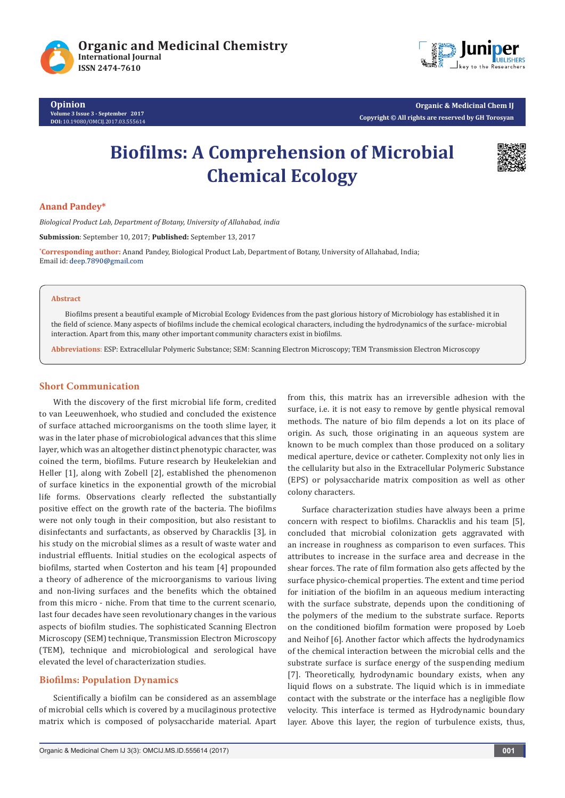

**Opinion Volume 3 Issue 3 - September 2017 DOI:** [10.19080/OMCIJ.2017.03.555](http://dx.doi.org/10.19080/omcij.2017.03.555614)614

**Organic & Medicinal Chem IJ Copyright © All rights are reserved by GH Torosyan**

# **Biofilms: A Comprehension of Microbial Chemical Ecology**



## **Anand Pandey\***

*Biological Product Lab, Department of Botany, University of Allahabad, india*

**Submission**: September 10, 2017; **Published:** September 13, 2017

**\* Corresponding author:** Anand Pandey, Biological Product Lab, Department of Botany, University of Allahabad, India; Email id: deep.7890@gmail.com

#### **Abstract**

Biofilms present a beautiful example of Microbial Ecology Evidences from the past glorious history of Microbiology has established it in the field of science. Many aspects of biofilms include the chemical ecological characters, including the hydrodynamics of the surface- microbial interaction. Apart from this, many other important community characters exist in biofilms.

**Abbreviations**: ESP: Extracellular Polymeric Substance; SEM: Scanning Electron Microscopy; TEM Transmission Electron Microscopy

#### **Short Communication**

With the discovery of the first microbial life form, credited to van Leeuwenhoek, who studied and concluded the existence of surface attached microorganisms on the tooth slime layer, it was in the later phase of microbiological advances that this slime layer, which was an altogether distinct phenotypic character, was coined the term, biofilms. Future research by Heukelekian and Heller [1], along with Zobell [2], established the phenomenon of surface kinetics in the exponential growth of the microbial life forms. Observations clearly reflected the substantially positive effect on the growth rate of the bacteria. The biofilms were not only tough in their composition, but also resistant to disinfectants and surfactants, as observed by Characklis [3], in his study on the microbial slimes as a result of waste water and industrial effluents. Initial studies on the ecological aspects of biofilms, started when Costerton and his team [4] propounded a theory of adherence of the microorganisms to various living and non-living surfaces and the benefits which the obtained from this micro - niche. From that time to the current scenario, last four decades have seen revolutionary changes in the various aspects of biofilm studies. The sophisticated Scanning Electron Microscopy (SEM) technique, Transmission Electron Microscopy (TEM), technique and microbiological and serological have elevated the level of characterization studies.

#### **Biofilms: Population Dynamics**

Scientifically a biofilm can be considered as an assemblage of microbial cells which is covered by a mucilaginous protective matrix which is composed of polysaccharide material. Apart from this, this matrix has an irreversible adhesion with the surface, i.e. it is not easy to remove by gentle physical removal methods. The nature of bio film depends a lot on its place of origin. As such, those originating in an aqueous system are known to be much complex than those produced on a solitary medical aperture, device or catheter. Complexity not only lies in the cellularity but also in the Extracellular Polymeric Substance (EPS) or polysaccharide matrix composition as well as other colony characters.

Surface characterization studies have always been a prime concern with respect to biofilms. Characklis and his team [5], concluded that microbial colonization gets aggravated with an increase in roughness as comparison to even surfaces. This attributes to increase in the surface area and decrease in the shear forces. The rate of film formation also gets affected by the surface physico-chemical properties. The extent and time period for initiation of the biofilm in an aqueous medium interacting with the surface substrate, depends upon the conditioning of the polymers of the medium to the substrate surface. Reports on the conditioned biofilm formation were proposed by Loeb and Neihof [6]. Another factor which affects the hydrodynamics of the chemical interaction between the microbial cells and the substrate surface is surface energy of the suspending medium [7]. Theoretically, hydrodynamic boundary exists, when any liquid flows on a substrate. The liquid which is in immediate contact with the substrate or the interface has a negligible flow velocity. This interface is termed as Hydrodynamic boundary layer. Above this layer, the region of turbulence exists, thus,